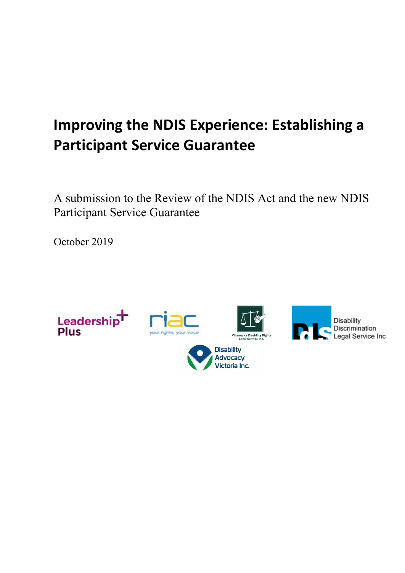# **Improving the NDIS Experience: Establishing a Participant Service Guarantee**

A submission to the Review of the NDIS Act and the new NDIS Participant Service Guarantee

October 2019

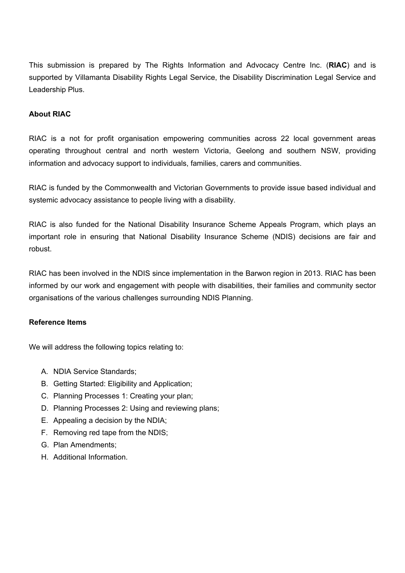This submission is prepared by The Rights Information and Advocacy Centre Inc. (**RIAC**) and is supported by Villamanta Disability Rights Legal Service, the Disability Discrimination Legal Service and Leadership Plus.

#### **About RIAC**

RIAC is a not for profit organisation empowering communities across 22 local government areas operating throughout central and north western Victoria, Geelong and southern NSW, providing information and advocacy support to individuals, families, carers and communities.

RIAC is funded by the Commonwealth and Victorian Governments to provide issue based individual and systemic advocacy assistance to people living with a disability.

RIAC is also funded for the National Disability Insurance Scheme Appeals Program, which plays an important role in ensuring that National Disability Insurance Scheme (NDIS) decisions are fair and robust.

RIAC has been involved in the NDIS since implementation in the Barwon region in 2013. RIAC has been informed by our work and engagement with people with disabilities, their families and community sector organisations of the various challenges surrounding NDIS Planning.

#### **Reference Items**

We will address the following topics relating to:

- A. NDIA Service Standards;
- B. Getting Started: Eligibility and Application;
- C. Planning Processes 1: Creating your plan;
- D. Planning Processes 2: Using and reviewing plans;
- E. Appealing a decision by the NDIA;
- F. Removing red tape from the NDIS;
- G. Plan Amendments;
- H. Additional Information.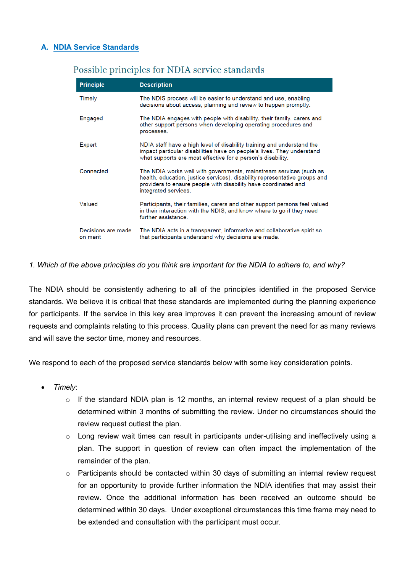# **A. NDIA Service Standards**

| <b>Principle</b>               | <b>Description</b>                                                                                                                                                                                                                          |
|--------------------------------|---------------------------------------------------------------------------------------------------------------------------------------------------------------------------------------------------------------------------------------------|
| Timely                         | The NDIS process will be easier to understand and use, enabling<br>decisions about access, planning and review to happen promptly.                                                                                                          |
| Engaged                        | The NDIA engages with people with disability, their family, carers and<br>other support persons when developing operating procedures and<br>processes.                                                                                      |
| Expert                         | NDIA staff have a high level of disability training and understand the<br>impact particular disabilities have on people's lives. They understand<br>what supports are most effective for a person's disability.                             |
| Connected                      | The NDIA works well with governments, mainstream services (such as<br>health, education, justice services), disability representative groups and<br>providers to ensure people with disability have coordinated and<br>integrated services. |
| Valued                         | Participants, their families, carers and other support persons feel valued<br>in their interaction with the NDIS, and know where to go if they need<br>further assistance                                                                   |
| Decisions are made<br>on merit | The NDIA acts in a transparent, informative and collaborative spirit so<br>that participants understand why decisions are made.                                                                                                             |

# Possible principles for NDIA service standards

#### *1. Which of the above principles do you think are important for the NDIA to adhere to, and why?*

The NDIA should be consistently adhering to all of the principles identified in the proposed Service standards. We believe it is critical that these standards are implemented during the planning experience for participants. If the service in this key area improves it can prevent the increasing amount of review requests and complaints relating to this process. Quality plans can prevent the need for as many reviews and will save the sector time, money and resources.

We respond to each of the proposed service standards below with some key consideration points.

- *Timely*:
	- $\circ$  If the standard NDIA plan is 12 months, an internal review request of a plan should be determined within 3 months of submitting the review. Under no circumstances should the review request outlast the plan.
	- $\circ$  Long review wait times can result in participants under-utilising and ineffectively using a plan. The support in question of review can often impact the implementation of the remainder of the plan.
	- $\circ$  Participants should be contacted within 30 days of submitting an internal review request for an opportunity to provide further information the NDIA identifies that may assist their review. Once the additional information has been received an outcome should be determined within 30 days. Under exceptional circumstances this time frame may need to be extended and consultation with the participant must occur.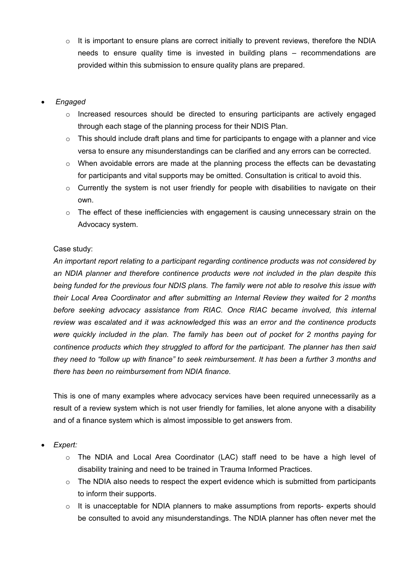$\circ$  It is important to ensure plans are correct initially to prevent reviews, therefore the NDIA needs to ensure quality time is invested in building plans – recommendations are provided within this submission to ensure quality plans are prepared.

# • *Engaged*

- o Increased resources should be directed to ensuring participants are actively engaged through each stage of the planning process for their NDIS Plan.
- $\circ$  This should include draft plans and time for participants to engage with a planner and vice versa to ensure any misunderstandings can be clarified and any errors can be corrected.
- $\circ$  When avoidable errors are made at the planning process the effects can be devastating for participants and vital supports may be omitted. Consultation is critical to avoid this.
- o Currently the system is not user friendly for people with disabilities to navigate on their own.
- $\circ$  The effect of these inefficiencies with engagement is causing unnecessary strain on the Advocacy system.

# Case study:

*An important report relating to a participant regarding continence products was not considered by an NDIA planner and therefore continence products were not included in the plan despite this being funded for the previous four NDIS plans. The family were not able to resolve this issue with their Local Area Coordinator and after submitting an Internal Review they waited for 2 months before seeking advocacy assistance from RIAC. Once RIAC became involved, this internal review was escalated and it was acknowledged this was an error and the continence products were quickly included in the plan. The family has been out of pocket for 2 months paying for continence products which they struggled to afford for the participant. The planner has then said they need to "follow up with finance" to seek reimbursement. It has been a further 3 months and there has been no reimbursement from NDIA finance.* 

This is one of many examples where advocacy services have been required unnecessarily as a result of a review system which is not user friendly for families, let alone anyone with a disability and of a finance system which is almost impossible to get answers from.

# • *Expert:*

- o The NDIA and Local Area Coordinator (LAC) staff need to be have a high level of disability training and need to be trained in Trauma Informed Practices.
- $\circ$  The NDIA also needs to respect the expert evidence which is submitted from participants to inform their supports.
- $\circ$  It is unacceptable for NDIA planners to make assumptions from reports- experts should be consulted to avoid any misunderstandings. The NDIA planner has often never met the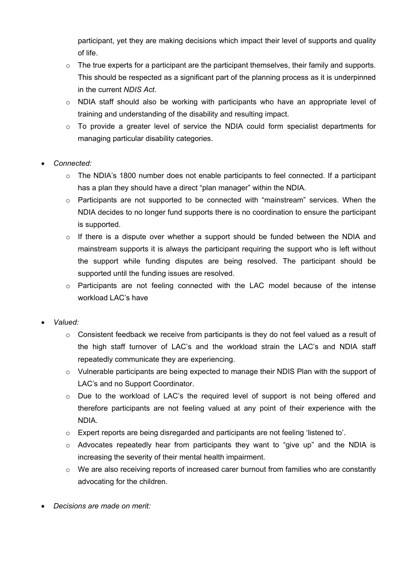participant, yet they are making decisions which impact their level of supports and quality of life.

- $\circ$  The true experts for a participant are the participant themselves, their family and supports. This should be respected as a significant part of the planning process as it is underpinned in the current *NDIS Act*.
- $\circ$  NDIA staff should also be working with participants who have an appropriate level of training and understanding of the disability and resulting impact.
- $\circ$  To provide a greater level of service the NDIA could form specialist departments for managing particular disability categories.

# • *Connected:*

- $\circ$  The NDIA's 1800 number does not enable participants to feel connected. If a participant has a plan they should have a direct "plan manager" within the NDIA.
- $\circ$  Participants are not supported to be connected with "mainstream" services. When the NDIA decides to no longer fund supports there is no coordination to ensure the participant is supported.
- $\circ$  If there is a dispute over whether a support should be funded between the NDIA and mainstream supports it is always the participant requiring the support who is left without the support while funding disputes are being resolved. The participant should be supported until the funding issues are resolved.
- o Participants are not feeling connected with the LAC model because of the intense workload LAC's have
- *Valued:*
	- o Consistent feedback we receive from participants is they do not feel valued as a result of the high staff turnover of LAC's and the workload strain the LAC's and NDIA staff repeatedly communicate they are experiencing.
	- o Vulnerable participants are being expected to manage their NDIS Plan with the support of LAC's and no Support Coordinator.
	- o Due to the workload of LAC's the required level of support is not being offered and therefore participants are not feeling valued at any point of their experience with the NDIA.
	- o Expert reports are being disregarded and participants are not feeling 'listened to'.
	- $\circ$  Advocates repeatedly hear from participants they want to "give up" and the NDIA is increasing the severity of their mental health impairment.
	- o We are also receiving reports of increased carer burnout from families who are constantly advocating for the children.
- *Decisions are made on merit:*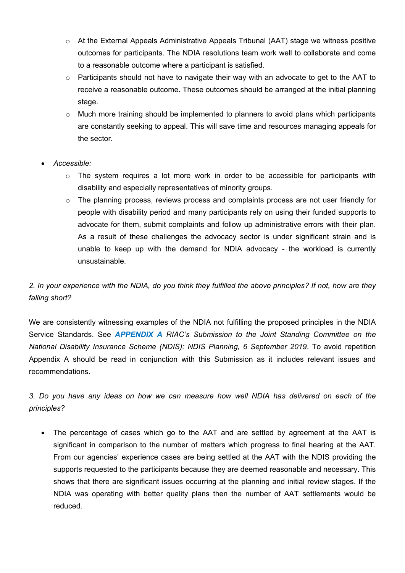- o At the External Appeals Administrative Appeals Tribunal (AAT) stage we witness positive outcomes for participants. The NDIA resolutions team work well to collaborate and come to a reasonable outcome where a participant is satisfied.
- o Participants should not have to navigate their way with an advocate to get to the AAT to receive a reasonable outcome. These outcomes should be arranged at the initial planning stage.
- $\circ$  Much more training should be implemented to planners to avoid plans which participants are constantly seeking to appeal. This will save time and resources managing appeals for the sector.
- *Accessible:*
	- $\circ$  The system requires a lot more work in order to be accessible for participants with disability and especially representatives of minority groups.
	- $\circ$  The planning process, reviews process and complaints process are not user friendly for people with disability period and many participants rely on using their funded supports to advocate for them, submit complaints and follow up administrative errors with their plan. As a result of these challenges the advocacy sector is under significant strain and is unable to keep up with the demand for NDIA advocacy - the workload is currently unsustainable.

# *2. In your experience with the NDIA, do you think they fulfilled the above principles? If not, how are they falling short?*

We are consistently witnessing examples of the NDIA not fulfilling the proposed principles in the NDIA Service Standards. See *APPENDIX A RIAC's Submission to the Joint Standing Committee on the National Disability Insurance Scheme (NDIS): NDIS Planning, 6 September 2019*. To avoid repetition Appendix A should be read in conjunction with this Submission as it includes relevant issues and recommendations.

*3. Do you have any ideas on how we can measure how well NDIA has delivered on each of the principles?*

The percentage of cases which go to the AAT and are settled by agreement at the AAT is significant in comparison to the number of matters which progress to final hearing at the AAT. From our agencies' experience cases are being settled at the AAT with the NDIS providing the supports requested to the participants because they are deemed reasonable and necessary. This shows that there are significant issues occurring at the planning and initial review stages. If the NDIA was operating with better quality plans then the number of AAT settlements would be reduced.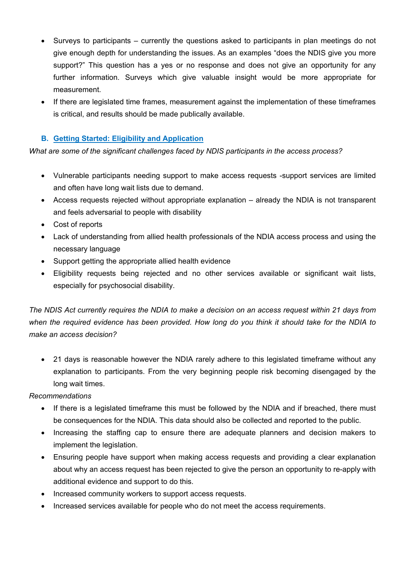- Surveys to participants currently the questions asked to participants in plan meetings do not give enough depth for understanding the issues. As an examples "does the NDIS give you more support?" This question has a yes or no response and does not give an opportunity for any further information. Surveys which give valuable insight would be more appropriate for measurement.
- If there are legislated time frames, measurement against the implementation of these timeframes is critical, and results should be made publically available.

# **B. Getting Started: Eligibility and Application**

*What are some of the significant challenges faced by NDIS participants in the access process?*

- Vulnerable participants needing support to make access requests -support services are limited and often have long wait lists due to demand.
- Access requests rejected without appropriate explanation already the NDIA is not transparent and feels adversarial to people with disability
- Cost of reports
- Lack of understanding from allied health professionals of the NDIA access process and using the necessary language
- Support getting the appropriate allied health evidence
- Eligibility requests being rejected and no other services available or significant wait lists, especially for psychosocial disability.

*The NDIS Act currently requires the NDIA to make a decision on an access request within 21 days from when the required evidence has been provided. How long do you think it should take for the NDIA to make an access decision?*

• 21 days is reasonable however the NDIA rarely adhere to this legislated timeframe without any explanation to participants. From the very beginning people risk becoming disengaged by the long wait times.

*Recommendations* 

- If there is a legislated timeframe this must be followed by the NDIA and if breached, there must be consequences for the NDIA. This data should also be collected and reported to the public.
- Increasing the staffing cap to ensure there are adequate planners and decision makers to implement the legislation.
- Ensuring people have support when making access requests and providing a clear explanation about why an access request has been rejected to give the person an opportunity to re-apply with additional evidence and support to do this.
- Increased community workers to support access requests.
- Increased services available for people who do not meet the access requirements.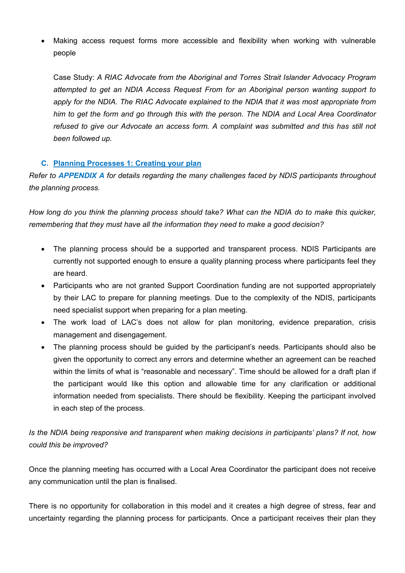Making access request forms more accessible and flexibility when working with vulnerable people

Case Study: *A RIAC Advocate from the Aboriginal and Torres Strait Islander Advocacy Program attempted to get an NDIA Access Request From for an Aboriginal person wanting support to apply for the NDIA. The RIAC Advocate explained to the NDIA that it was most appropriate from him to get the form and go through this with the person. The NDIA and Local Area Coordinator refused to give our Advocate an access form. A complaint was submitted and this has still not been followed up.*

# **C. Planning Processes 1: Creating your plan**

*Refer to APPENDIX A for details regarding the many challenges faced by NDIS participants throughout the planning process.*

*How long do you think the planning process should take? What can the NDIA do to make this quicker, remembering that they must have all the information they need to make a good decision?*

- The planning process should be a supported and transparent process. NDIS Participants are currently not supported enough to ensure a quality planning process where participants feel they are heard.
- Participants who are not granted Support Coordination funding are not supported appropriately by their LAC to prepare for planning meetings. Due to the complexity of the NDIS, participants need specialist support when preparing for a plan meeting.
- The work load of LAC's does not allow for plan monitoring, evidence preparation, crisis management and disengagement.
- The planning process should be quided by the participant's needs. Participants should also be given the opportunity to correct any errors and determine whether an agreement can be reached within the limits of what is "reasonable and necessary". Time should be allowed for a draft plan if the participant would like this option and allowable time for any clarification or additional information needed from specialists. There should be flexibility. Keeping the participant involved in each step of the process.

*Is the NDIA being responsive and transparent when making decisions in participants' plans? If not, how could this be improved?*

Once the planning meeting has occurred with a Local Area Coordinator the participant does not receive any communication until the plan is finalised.

There is no opportunity for collaboration in this model and it creates a high degree of stress, fear and uncertainty regarding the planning process for participants. Once a participant receives their plan they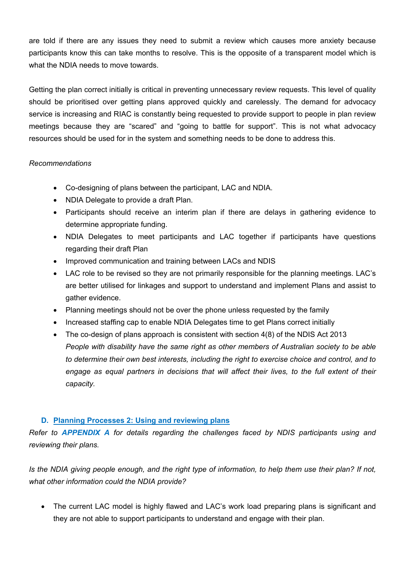are told if there are any issues they need to submit a review which causes more anxiety because participants know this can take months to resolve. This is the opposite of a transparent model which is what the NDIA needs to move towards.

Getting the plan correct initially is critical in preventing unnecessary review requests. This level of quality should be prioritised over getting plans approved quickly and carelessly. The demand for advocacy service is increasing and RIAC is constantly being requested to provide support to people in plan review meetings because they are "scared" and "going to battle for support". This is not what advocacy resources should be used for in the system and something needs to be done to address this.

# *Recommendations*

- Co-designing of plans between the participant, LAC and NDIA.
- NDIA Delegate to provide a draft Plan.
- Participants should receive an interim plan if there are delays in gathering evidence to determine appropriate funding.
- NDIA Delegates to meet participants and LAC together if participants have questions regarding their draft Plan
- Improved communication and training between LACs and NDIS
- LAC role to be revised so they are not primarily responsible for the planning meetings. LAC's are better utilised for linkages and support to understand and implement Plans and assist to gather evidence.
- Planning meetings should not be over the phone unless requested by the family
- Increased staffing cap to enable NDIA Delegates time to get Plans correct initially
- The co-design of plans approach is consistent with section 4(8) of the NDIS Act 2013 *People with disability have the same right as other members of Australian society to be able to determine their own best interests, including the right to exercise choice and control, and to*  engage as equal partners in decisions that will affect their lives, to the full extent of their *capacity.*

# **D. Planning Processes 2: Using and reviewing plans**

*Refer to APPENDIX A for details regarding the challenges faced by NDIS participants using and reviewing their plans.*

*Is the NDIA giving people enough, and the right type of information, to help them use their plan? If not, what other information could the NDIA provide?*

The current LAC model is highly flawed and LAC's work load preparing plans is significant and they are not able to support participants to understand and engage with their plan.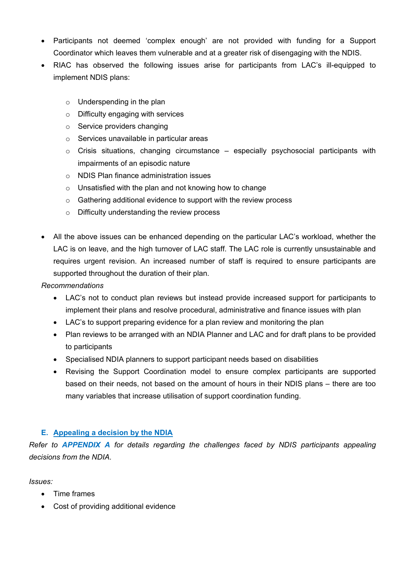- Participants not deemed 'complex enough' are not provided with funding for a Support Coordinator which leaves them vulnerable and at a greater risk of disengaging with the NDIS.
- RIAC has observed the following issues arise for participants from LAC's ill-equipped to implement NDIS plans:
	- $\circ$  Underspending in the plan
	- o Difficulty engaging with services
	- o Service providers changing
	- o Services unavailable in particular areas
	- $\circ$  Crisis situations, changing circumstance especially psychosocial participants with impairments of an episodic nature
	- o NDIS Plan finance administration issues
	- o Unsatisfied with the plan and not knowing how to change
	- o Gathering additional evidence to support with the review process
	- o Difficulty understanding the review process
- All the above issues can be enhanced depending on the particular LAC's workload, whether the LAC is on leave, and the high turnover of LAC staff. The LAC role is currently unsustainable and requires urgent revision. An increased number of staff is required to ensure participants are supported throughout the duration of their plan.

*Recommendations*

- LAC's not to conduct plan reviews but instead provide increased support for participants to implement their plans and resolve procedural, administrative and finance issues with plan
- LAC's to support preparing evidence for a plan review and monitoring the plan
- Plan reviews to be arranged with an NDIA Planner and LAC and for draft plans to be provided to participants
- Specialised NDIA planners to support participant needs based on disabilities
- Revising the Support Coordination model to ensure complex participants are supported based on their needs, not based on the amount of hours in their NDIS plans – there are too many variables that increase utilisation of support coordination funding.

# **E. Appealing a decision by the NDIA**

*Refer to APPENDIX A for details regarding the challenges faced by NDIS participants appealing decisions from the NDIA.*

*Issues:*

- Time frames
- Cost of providing additional evidence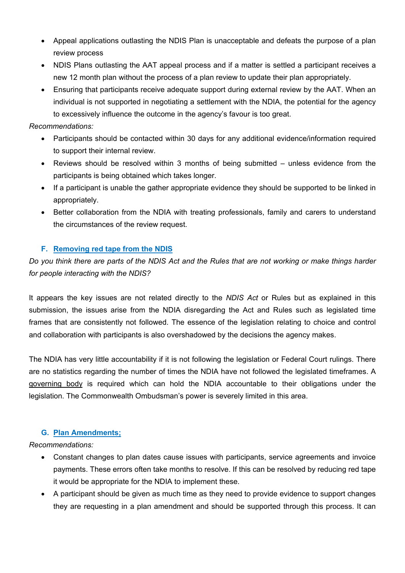- Appeal applications outlasting the NDIS Plan is unacceptable and defeats the purpose of a plan review process
- NDIS Plans outlasting the AAT appeal process and if a matter is settled a participant receives a new 12 month plan without the process of a plan review to update their plan appropriately.
- Ensuring that participants receive adequate support during external review by the AAT. When an individual is not supported in negotiating a settlement with the NDIA, the potential for the agency to excessively influence the outcome in the agency's favour is too great.

#### *Recommendations:*

- Participants should be contacted within 30 days for any additional evidence/information required to support their internal review.
- Reviews should be resolved within 3 months of being submitted unless evidence from the participants is being obtained which takes longer.
- If a participant is unable the gather appropriate evidence they should be supported to be linked in appropriately.
- Better collaboration from the NDIA with treating professionals, family and carers to understand the circumstances of the review request.

# **F. Removing red tape from the NDIS**

*Do you think there are parts of the NDIS Act and the Rules that are not working or make things harder for people interacting with the NDIS?*

It appears the key issues are not related directly to the *NDIS Act* or Rules but as explained in this submission, the issues arise from the NDIA disregarding the Act and Rules such as legislated time frames that are consistently not followed. The essence of the legislation relating to choice and control and collaboration with participants is also overshadowed by the decisions the agency makes.

The NDIA has very little accountability if it is not following the legislation or Federal Court rulings. There are no statistics regarding the number of times the NDIA have not followed the legislated timeframes. A governing body is required which can hold the NDIA accountable to their obligations under the legislation. The Commonwealth Ombudsman's power is severely limited in this area.

# **G. Plan Amendments;**

*Recommendations:*

- Constant changes to plan dates cause issues with participants, service agreements and invoice payments. These errors often take months to resolve. If this can be resolved by reducing red tape it would be appropriate for the NDIA to implement these.
- A participant should be given as much time as they need to provide evidence to support changes they are requesting in a plan amendment and should be supported through this process. It can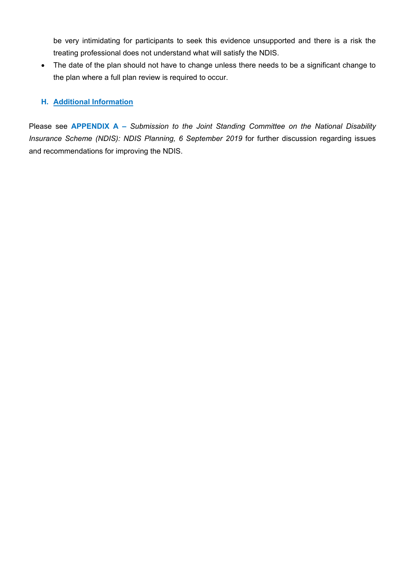be very intimidating for participants to seek this evidence unsupported and there is a risk the treating professional does not understand what will satisfy the NDIS.

• The date of the plan should not have to change unless there needs to be a significant change to the plan where a full plan review is required to occur.

# **H. Additional Information**

Please see **APPENDIX A –** *Submission to the Joint Standing Committee on the National Disability Insurance Scheme (NDIS): NDIS Planning, 6 September 2019* for further discussion regarding issues and recommendations for improving the NDIS.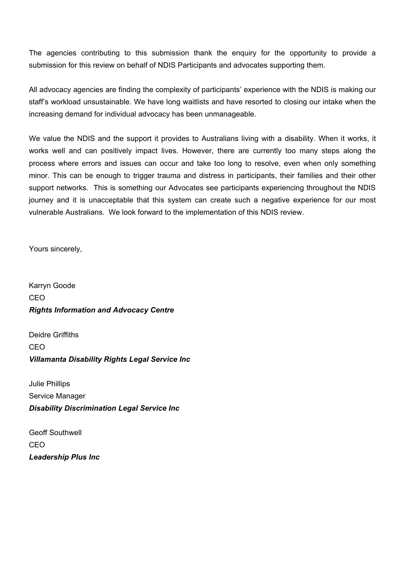The agencies contributing to this submission thank the enquiry for the opportunity to provide a submission for this review on behalf of NDIS Participants and advocates supporting them.

All advocacy agencies are finding the complexity of participants' experience with the NDIS is making our staff's workload unsustainable. We have long waitlists and have resorted to closing our intake when the increasing demand for individual advocacy has been unmanageable.

We value the NDIS and the support it provides to Australians living with a disability. When it works, it works well and can positively impact lives. However, there are currently too many steps along the process where errors and issues can occur and take too long to resolve, even when only something minor. This can be enough to trigger trauma and distress in participants, their families and their other support networks. This is something our Advocates see participants experiencing throughout the NDIS journey and it is unacceptable that this system can create such a negative experience for our most vulnerable Australians. We look forward to the implementation of this NDIS review.

Yours sincerely,

Karryn Goode CEO *Rights Information and Advocacy Centre*

Deidre Griffiths CEO *Villamanta Disability Rights Legal Service Inc*

Julie Phillips Service Manager *Disability Discrimination Legal Service Inc*

Geoff Southwell CEO *Leadership Plus Inc*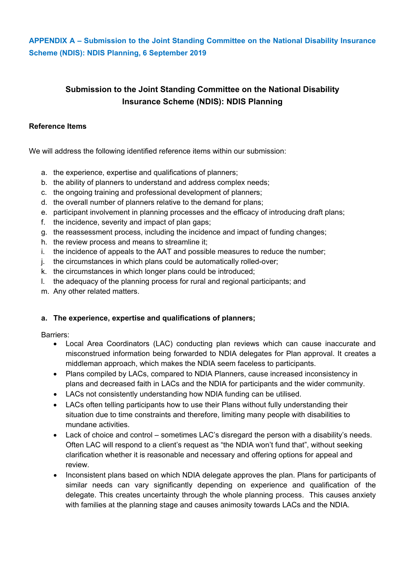**APPENDIX A – Submission to the Joint Standing Committee on the National Disability Insurance Scheme (NDIS): NDIS Planning, 6 September 2019**

# **Submission to the Joint Standing Committee on the National Disability Insurance Scheme (NDIS): NDIS Planning**

#### **Reference Items**

We will address the following identified reference items within our submission:

- a. the experience, expertise and qualifications of planners;
- b. the ability of planners to understand and address complex needs;
- c. the ongoing training and professional development of planners;
- d. the overall number of planners relative to the demand for plans;
- e. participant involvement in planning processes and the efficacy of introducing draft plans;
- f. the incidence, severity and impact of plan gaps;
- g. the reassessment process, including the incidence and impact of funding changes;
- h. the review process and means to streamline it;
- i. the incidence of appeals to the AAT and possible measures to reduce the number;
- j. the circumstances in which plans could be automatically rolled-over;
- k. the circumstances in which longer plans could be introduced;
- l. the adequacy of the planning process for rural and regional participants; and
- m. Any other related matters.

# **a. The experience, expertise and qualifications of planners;**

Barriers:

- Local Area Coordinators (LAC) conducting plan reviews which can cause inaccurate and misconstrued information being forwarded to NDIA delegates for Plan approval. It creates a middleman approach, which makes the NDIA seem faceless to participants.
- Plans compiled by LACs, compared to NDIA Planners, cause increased inconsistency in plans and decreased faith in LACs and the NDIA for participants and the wider community.
- LACs not consistently understanding how NDIA funding can be utilised.
- LACs often telling participants how to use their Plans without fully understanding their situation due to time constraints and therefore, limiting many people with disabilities to mundane activities.
- Lack of choice and control sometimes LAC's disregard the person with a disability's needs. Often LAC will respond to a client's request as "the NDIA won't fund that", without seeking clarification whether it is reasonable and necessary and offering options for appeal and review.
- Inconsistent plans based on which NDIA delegate approves the plan. Plans for participants of similar needs can vary significantly depending on experience and qualification of the delegate. This creates uncertainty through the whole planning process. This causes anxiety with families at the planning stage and causes animosity towards LACs and the NDIA.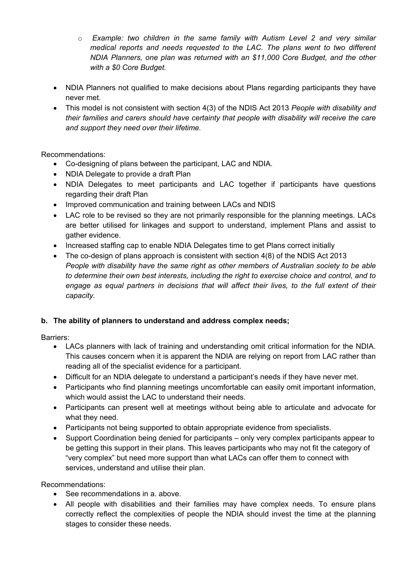- o *Example: two children in the same family with Autism Level 2 and very similar medical reports and needs requested to the LAC. The plans went to two different NDIA Planners, one plan was returned with an \$11,000 Core Budget, and the other with a \$0 Core Budget.*
- NDIA Planners not qualified to make decisions about Plans regarding participants they have never met.
- This model is not consistent with section 4(3) of the NDIS Act 2013 *People with disability and their families and carers should have certainty that people with disability will receive the care and support they need over their lifetime.*

Recommendations:

- Co-designing of plans between the participant, LAC and NDIA.
- NDIA Delegate to provide a draft Plan
- NDIA Delegates to meet participants and LAC together if participants have questions regarding their draft Plan
- Improved communication and training between LACs and NDIS
- LAC role to be revised so they are not primarily responsible for the planning meetings. LACs are better utilised for linkages and support to understand, implement Plans and assist to gather evidence.
- Increased staffing cap to enable NDIA Delegates time to get Plans correct initially
- The co-design of plans approach is consistent with section 4(8) of the NDIS Act 2013 *People with disability have the same right as other members of Australian society to be able to determine their own best interests, including the right to exercise choice and control, and to engage as equal partners in decisions that will affect their lives, to the full extent of their capacity.*

# **b. The ability of planners to understand and address complex needs;**

Barriers:

- LACs planners with lack of training and understanding omit critical information for the NDIA. This causes concern when it is apparent the NDIA are relying on report from LAC rather than reading all of the specialist evidence for a participant.
- Difficult for an NDIA delegate to understand a participant's needs if they have never met.
- Participants who find planning meetings uncomfortable can easily omit important information, which would assist the LAC to understand their needs.
- Participants can present well at meetings without being able to articulate and advocate for what they need.
- Participants not being supported to obtain appropriate evidence from specialists.
- Support Coordination being denied for participants only very complex participants appear to be getting this support in their plans. This leaves participants who may not fit the category of "very complex" but need more support than what LACs can offer them to connect with services, understand and utilise their plan.

Recommendations:

- See recommendations in a. above.
- All people with disabilities and their families may have complex needs. To ensure plans correctly reflect the complexities of people the NDIA should invest the time at the planning stages to consider these needs.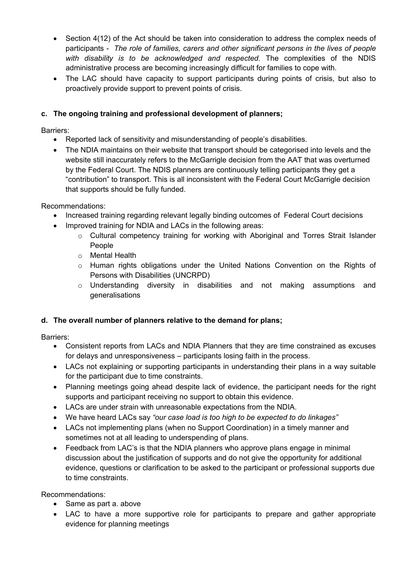- Section 4(12) of the Act should be taken into consideration to address the complex needs of participants - *The role of families, carers and other significant persons in the lives of people with disability is to be acknowledged and respected.* The complexities of the NDIS administrative process are becoming increasingly difficult for families to cope with.
- The LAC should have capacity to support participants during points of crisis, but also to proactively provide support to prevent points of crisis.

# **c. The ongoing training and professional development of planners;**

Barriers:

- Reported lack of sensitivity and misunderstanding of people's disabilities.
- The NDIA maintains on their website that transport should be categorised into levels and the website still inaccurately refers to the McGarrigle decision from the AAT that was overturned by the Federal Court. The NDIS planners are continuously telling participants they get a "contribution" to transport. This is all inconsistent with the Federal Court McGarrigle decision that supports should be fully funded.

Recommendations:

- Increased training regarding relevant legally binding outcomes of Federal Court decisions
- Improved training for NDIA and LACs in the following areas:
	- $\circ$  Cultural competency training for working with Aboriginal and Torres Strait Islander People
	- o Mental Health
	- o Human rights obligations under the United Nations Convention on the Rights of Persons with Disabilities (UNCRPD)
	- o Understanding diversity in disabilities and not making assumptions and generalisations

# **d. The overall number of planners relative to the demand for plans;**

Barriers:

- Consistent reports from LACs and NDIA Planners that they are time constrained as excuses for delays and unresponsiveness – participants losing faith in the process.
- LACs not explaining or supporting participants in understanding their plans in a way suitable for the participant due to time constraints.
- Planning meetings going ahead despite lack of evidence, the participant needs for the right supports and participant receiving no support to obtain this evidence.
- LACs are under strain with unreasonable expectations from the NDIA.
- We have heard LACs say *"our case load is too high to be expected to do linkages"*
- LACs not implementing plans (when no Support Coordination) in a timely manner and sometimes not at all leading to underspending of plans.
- Feedback from LAC's is that the NDIA planners who approve plans engage in minimal discussion about the justification of supports and do not give the opportunity for additional evidence, questions or clarification to be asked to the participant or professional supports due to time constraints.

Recommendations:

- Same as part a. above
- LAC to have a more supportive role for participants to prepare and gather appropriate evidence for planning meetings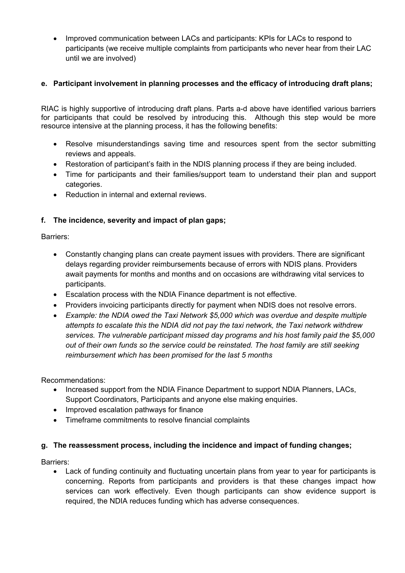• Improved communication between LACs and participants: KPIs for LACs to respond to participants (we receive multiple complaints from participants who never hear from their LAC until we are involved)

# **e. Participant involvement in planning processes and the efficacy of introducing draft plans;**

RIAC is highly supportive of introducing draft plans. Parts a-d above have identified various barriers for participants that could be resolved by introducing this. Although this step would be more resource intensive at the planning process, it has the following benefits:

- Resolve misunderstandings saving time and resources spent from the sector submitting reviews and appeals.
- Restoration of participant's faith in the NDIS planning process if they are being included.
- Time for participants and their families/support team to understand their plan and support categories.
- Reduction in internal and external reviews.

# **f. The incidence, severity and impact of plan gaps;**

Barriers:

- Constantly changing plans can create payment issues with providers. There are significant delays regarding provider reimbursements because of errors with NDIS plans. Providers await payments for months and months and on occasions are withdrawing vital services to participants.
- Escalation process with the NDIA Finance department is not effective.
- Providers invoicing participants directly for payment when NDIS does not resolve errors.
- *Example: the NDIA owed the Taxi Network \$5,000 which was overdue and despite multiple attempts to escalate this the NDIA did not pay the taxi network, the Taxi network withdrew services. The vulnerable participant missed day programs and his host family paid the \$5,000 out of their own funds so the service could be reinstated. The host family are still seeking reimbursement which has been promised for the last 5 months*

Recommendations:

- Increased support from the NDIA Finance Department to support NDIA Planners, LACs, Support Coordinators, Participants and anyone else making enquiries.
- Improved escalation pathways for finance
- Timeframe commitments to resolve financial complaints

# **g. The reassessment process, including the incidence and impact of funding changes;**

Barriers:

• Lack of funding continuity and fluctuating uncertain plans from year to year for participants is concerning. Reports from participants and providers is that these changes impact how services can work effectively. Even though participants can show evidence support is required, the NDIA reduces funding which has adverse consequences.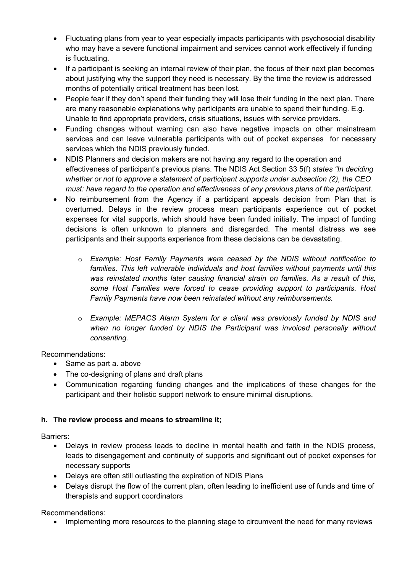- Fluctuating plans from year to year especially impacts participants with psychosocial disability who may have a severe functional impairment and services cannot work effectively if funding is fluctuating.
- If a participant is seeking an internal review of their plan, the focus of their next plan becomes about justifying why the support they need is necessary. By the time the review is addressed months of potentially critical treatment has been lost.
- People fear if they don't spend their funding they will lose their funding in the next plan. There are many reasonable explanations why participants are unable to spend their funding. E.g. Unable to find appropriate providers, crisis situations, issues with service providers.
- Funding changes without warning can also have negative impacts on other mainstream services and can leave vulnerable participants with out of pocket expenses for necessary services which the NDIS previously funded.
- NDIS Planners and decision makers are not having any regard to the operation and effectiveness of participant's previous plans. The NDIS Act Section 33 5(f) *states "In deciding whether or not to approve a statement of participant supports under subsection (2), the CEO must: have regard to the operation and effectiveness of any previous plans of the participant.*
- No reimbursement from the Agency if a participant appeals decision from Plan that is overturned. Delays in the review process mean participants experience out of pocket expenses for vital supports, which should have been funded initially. The impact of funding decisions is often unknown to planners and disregarded. The mental distress we see participants and their supports experience from these decisions can be devastating.
	- o *Example: Host Family Payments were ceased by the NDIS without notification to families. This left vulnerable individuals and host families without payments until this was reinstated months later causing financial strain on families. As a result of this, some Host Families were forced to cease providing support to participants. Host Family Payments have now been reinstated without any reimbursements.*
	- o *Example: MEPACS Alarm System for a client was previously funded by NDIS and*  when no longer funded by NDIS the Participant was invoiced personally without *consenting.*

Recommendations:

- Same as part a. above
- The co-designing of plans and draft plans
- Communication regarding funding changes and the implications of these changes for the participant and their holistic support network to ensure minimal disruptions.

# **h. The review process and means to streamline it;**

Barriers:

- Delays in review process leads to decline in mental health and faith in the NDIS process, leads to disengagement and continuity of supports and significant out of pocket expenses for necessary supports
- Delays are often still outlasting the expiration of NDIS Plans
- Delays disrupt the flow of the current plan, often leading to inefficient use of funds and time of therapists and support coordinators

Recommendations:

• Implementing more resources to the planning stage to circumvent the need for many reviews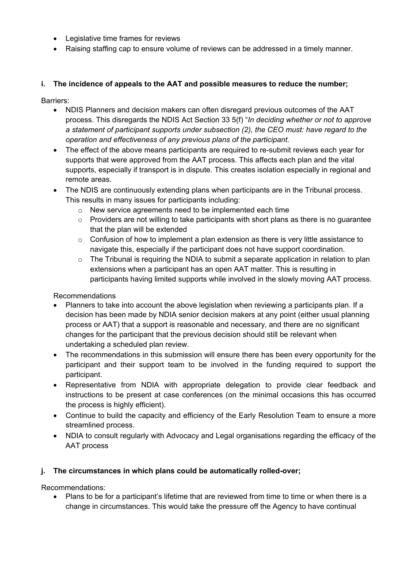- Legislative time frames for reviews
- Raising staffing cap to ensure volume of reviews can be addressed in a timely manner.

# **i. The incidence of appeals to the AAT and possible measures to reduce the number;**

Barriers:

- NDIS Planners and decision makers can often disregard previous outcomes of the AAT process. This disregards the NDIS Act Section 33 5(f) "*In deciding whether or not to approve a statement of participant supports under subsection (2), the CEO must: have regard to the operation and effectiveness of any previous plans of the participant.*
- The effect of the above means participants are required to re-submit reviews each year for supports that were approved from the AAT process. This affects each plan and the vital supports, especially if transport is in dispute. This creates isolation especially in regional and remote areas.
- The NDIS are continuously extending plans when participants are in the Tribunal process. This results in many issues for participants including:
	- o New service agreements need to be implemented each time
	- $\circ$  Providers are not willing to take participants with short plans as there is no quarantee that the plan will be extended
	- $\circ$  Confusion of how to implement a plan extension as there is very little assistance to navigate this, especially if the participant does not have support coordination.
	- $\circ$  The Tribunal is requiring the NDIA to submit a separate application in relation to plan extensions when a participant has an open AAT matter. This is resulting in participants having limited supports while involved in the slowly moving AAT process.

Recommendations

- Planners to take into account the above legislation when reviewing a participants plan. If a decision has been made by NDIA senior decision makers at any point (either usual planning process or AAT) that a support is reasonable and necessary, and there are no significant changes for the participant that the previous decision should still be relevant when undertaking a scheduled plan review.
- The recommendations in this submission will ensure there has been every opportunity for the participant and their support team to be involved in the funding required to support the participant.
- Representative from NDIA with appropriate delegation to provide clear feedback and instructions to be present at case conferences (on the minimal occasions this has occurred the process is highly efficient).
- Continue to build the capacity and efficiency of the Early Resolution Team to ensure a more streamlined process.
- NDIA to consult regularly with Advocacy and Legal organisations regarding the efficacy of the AAT process

# **j. The circumstances in which plans could be automatically rolled-over;**

Recommendations:

• Plans to be for a participant's lifetime that are reviewed from time to time or when there is a change in circumstances. This would take the pressure off the Agency to have continual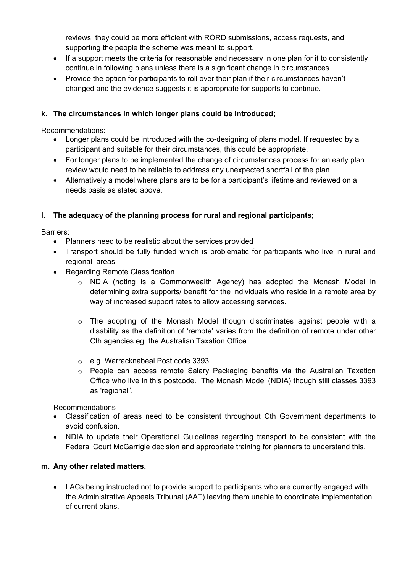reviews, they could be more efficient with RORD submissions, access requests, and supporting the people the scheme was meant to support.

- If a support meets the criteria for reasonable and necessary in one plan for it to consistently continue in following plans unless there is a significant change in circumstances.
- Provide the option for participants to roll over their plan if their circumstances haven't changed and the evidence suggests it is appropriate for supports to continue.

# **k. The circumstances in which longer plans could be introduced;**

Recommendations:

- Longer plans could be introduced with the co-designing of plans model. If requested by a participant and suitable for their circumstances, this could be appropriate.
- For longer plans to be implemented the change of circumstances process for an early plan review would need to be reliable to address any unexpected shortfall of the plan.
- Alternatively a model where plans are to be for a participant's lifetime and reviewed on a needs basis as stated above.

# **l. The adequacy of the planning process for rural and regional participants;**

Barriers:

- Planners need to be realistic about the services provided
- Transport should be fully funded which is problematic for participants who live in rural and regional areas
- Regarding Remote Classification
	- o NDIA (noting is a Commonwealth Agency) has adopted the Monash Model in determining extra supports/ benefit for the individuals who reside in a remote area by way of increased support rates to allow accessing services.
	- $\circ$  The adopting of the Monash Model though discriminates against people with a disability as the definition of 'remote' varies from the definition of remote under other Cth agencies eg. the Australian Taxation Office.
	- o e.g. Warracknabeal Post code 3393.
	- $\circ$  People can access remote Salary Packaging benefits via the Australian Taxation Office who live in this postcode. The Monash Model (NDIA) though still classes 3393 as 'regional".

Recommendations

- Classification of areas need to be consistent throughout Cth Government departments to avoid confusion.
- NDIA to update their Operational Guidelines regarding transport to be consistent with the Federal Court McGarrigle decision and appropriate training for planners to understand this.

# **m. Any other related matters.**

• LACs being instructed not to provide support to participants who are currently engaged with the Administrative Appeals Tribunal (AAT) leaving them unable to coordinate implementation of current plans.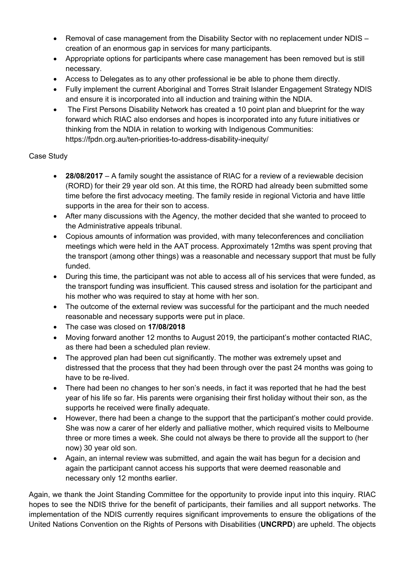- Removal of case management from the Disability Sector with no replacement under NDIS creation of an enormous gap in services for many participants.
- Appropriate options for participants where case management has been removed but is still necessary.
- Access to Delegates as to any other professional ie be able to phone them directly.
- Fully implement the current Aboriginal and Torres Strait Islander Engagement Strategy NDIS and ensure it is incorporated into all induction and training within the NDIA.
- The First Persons Disability Network has created a 10 point plan and blueprint for the way forward which RIAC also endorses and hopes is incorporated into any future initiatives or thinking from the NDIA in relation to working with Indigenous Communities: https://fpdn.org.au/ten-priorities-to-address-disability-inequity/

# Case Study

- **28/08/2017** A family sought the assistance of RIAC for a review of a reviewable decision (RORD) for their 29 year old son. At this time, the RORD had already been submitted some time before the first advocacy meeting. The family reside in regional Victoria and have little supports in the area for their son to access.
- After many discussions with the Agency, the mother decided that she wanted to proceed to the Administrative appeals tribunal.
- Copious amounts of information was provided, with many teleconferences and conciliation meetings which were held in the AAT process. Approximately 12mths was spent proving that the transport (among other things) was a reasonable and necessary support that must be fully funded.
- During this time, the participant was not able to access all of his services that were funded, as the transport funding was insufficient. This caused stress and isolation for the participant and his mother who was required to stay at home with her son.
- The outcome of the external review was successful for the participant and the much needed reasonable and necessary supports were put in place.
- The case was closed on **17/08/2018**
- Moving forward another 12 months to August 2019, the participant's mother contacted RIAC, as there had been a scheduled plan review.
- The approved plan had been cut significantly. The mother was extremely upset and distressed that the process that they had been through over the past 24 months was going to have to be re-lived.
- There had been no changes to her son's needs, in fact it was reported that he had the best year of his life so far. His parents were organising their first holiday without their son, as the supports he received were finally adequate.
- However, there had been a change to the support that the participant's mother could provide. She was now a carer of her elderly and palliative mother, which required visits to Melbourne three or more times a week. She could not always be there to provide all the support to (her now) 30 year old son.
- Again, an internal review was submitted, and again the wait has begun for a decision and again the participant cannot access his supports that were deemed reasonable and necessary only 12 months earlier.

Again, we thank the Joint Standing Committee for the opportunity to provide input into this inquiry. RIAC hopes to see the NDIS thrive for the benefit of participants, their families and all support networks. The implementation of the NDIS currently requires significant improvements to ensure the obligations of the United Nations Convention on the Rights of Persons with Disabilities (**UNCRPD**) are upheld. The objects